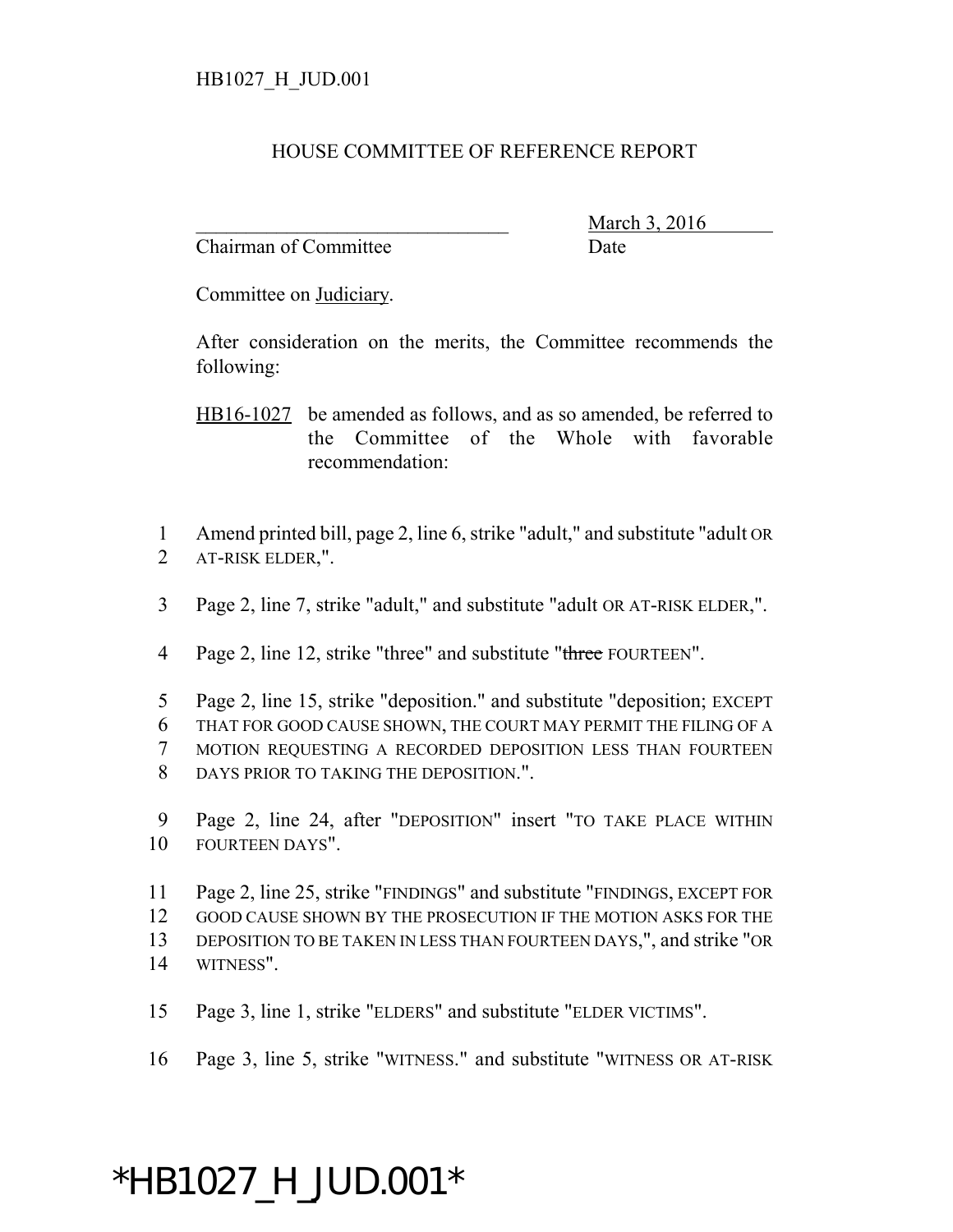## HOUSE COMMITTEE OF REFERENCE REPORT

Chairman of Committee Date

March 3, 2016

Committee on Judiciary.

After consideration on the merits, the Committee recommends the following:

HB16-1027 be amended as follows, and as so amended, be referred to the Committee of the Whole with favorable recommendation:

1 Amend printed bill, page 2, line 6, strike "adult," and substitute "adult OR 2 AT-RISK ELDER,".

3 Page 2, line 7, strike "adult," and substitute "adult OR AT-RISK ELDER,".

4 Page 2, line 12, strike "three" and substitute "three FOURTEEN".

 Page 2, line 15, strike "deposition." and substitute "deposition; EXCEPT THAT FOR GOOD CAUSE SHOWN, THE COURT MAY PERMIT THE FILING OF A MOTION REQUESTING A RECORDED DEPOSITION LESS THAN FOURTEEN DAYS PRIOR TO TAKING THE DEPOSITION.".

9 Page 2, line 24, after "DEPOSITION" insert "TO TAKE PLACE WITHIN 10 FOURTEEN DAYS".

 Page 2, line 25, strike "FINDINGS" and substitute "FINDINGS, EXCEPT FOR GOOD CAUSE SHOWN BY THE PROSECUTION IF THE MOTION ASKS FOR THE DEPOSITION TO BE TAKEN IN LESS THAN FOURTEEN DAYS,", and strike "OR WITNESS".

15 Page 3, line 1, strike "ELDERS" and substitute "ELDER VICTIMS".

16 Page 3, line 5, strike "WITNESS." and substitute "WITNESS OR AT-RISK

## \*HB1027\_H\_JUD.001\*